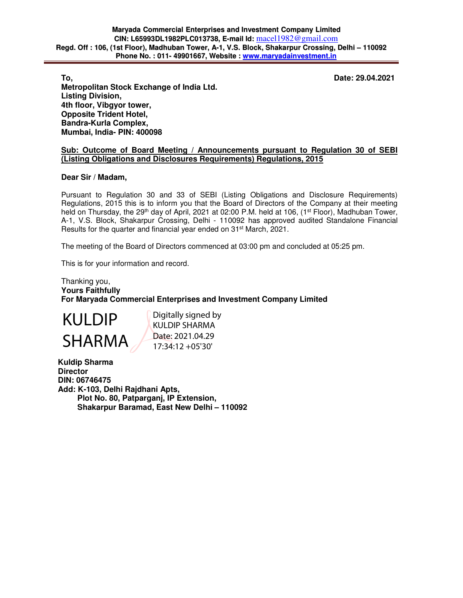**To, Date: 29.04.2021** 

**Metropolitan Stock Exchange of India Ltd. Listing Division, 4th floor, Vibgyor tower, Opposite Trident Hotel, Bandra-Kurla Complex, Mumbai, India- PIN: 400098** 

# **Sub: Outcome of Board Meeting / Announcements pursuant to Regulation 30 of SEBI (Listing Obligations and Disclosures Requirements) Regulations, 2015**

### **Dear Sir / Madam,**

Pursuant to Regulation 30 and 33 of SEBI (Listing Obligations and Disclosure Requirements) Regulations, 2015 this is to inform you that the Board of Directors of the Company at their meeting held on Thursday, the 29<sup>th</sup> day of April, 2021 at 02:00 P.M. held at 106, (1<sup>st</sup> Floor), Madhuban Tower, A-1, V.S. Block, Shakarpur Crossing, Delhi - 110092 has approved audited Standalone Financial Results for the quarter and financial year ended on 31st March, 2021.

The meeting of the Board of Directors commenced at 03:00 pm and concluded at 05:25 pm.

This is for your information and record.

# Thanking you, **Yours Faithfully For Maryada Commercial Enterprises and Investment Company Limited**



Digitally signed by KULDIP SHARMA Date: 2021.04.29 17:34:12 +05'30'

**Kuldip Sharma Director DIN: 06746475 Add: K-103, Delhi Rajdhani Apts, Plot No. 80, Patparganj, IP Extension, Shakarpur Baramad, East New Delhi – 110092**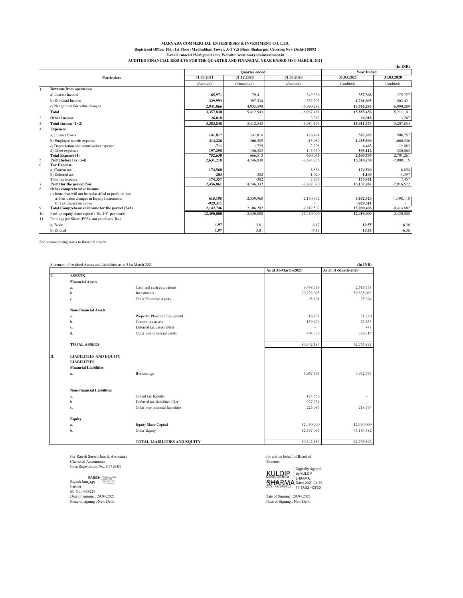### **MARYADA COMMERCIAL ENTERPRISES & INVESTMENT CO. LTD. Registered Office: 106, (1st Floor) Madhubhan Tower, A-1 V.S Block Shakarpur Crossing New Delhi-110092 E-mail : macel1982@gmail.com, Website: www.maryadainvestment.in AUDITED FINANCIAL RESULTS FOR THE QUARTER AND FINANCIAL YEAR ENDED 31ST MARCH, 2021**

|                    |                                                           |            |             | and a minimum mathematic a comparing containment in the antical country and these paths included |                   | $(In$ INR)   |  |
|--------------------|-----------------------------------------------------------|------------|-------------|--------------------------------------------------------------------------------------------------|-------------------|--------------|--|
|                    | <b>Quarter</b> ended                                      |            |             |                                                                                                  | <b>Year Ended</b> |              |  |
| <b>Particulars</b> |                                                           | 31.03.2021 | 31.12.2020  | 31.03.2020                                                                                       | 31.03.2021        | 31.03.2020   |  |
|                    |                                                           | (Audited)  | (Unaudited) | (Audited)                                                                                        | (Audited)         | (Audited)    |  |
|                    | <b>Revenue from operations</b>                            |            |             |                                                                                                  |                   |              |  |
|                    | a) Interest Income                                        | 85,971     | 79.411      | $-349.396$                                                                                       | 357,368           | 275,727      |  |
|                    | b) Dividend Income                                        | 329,993    | 397.534     | 352,203                                                                                          | 1,761,805         | 1,503,421    |  |
|                    | c) Net gain on fair value changes                         | 2,941,866  | 4,935,598   | $-6.990.289$                                                                                     | 13,766,283        | $-6,990,289$ |  |
|                    | Total                                                     | 3,357,830  | 5,412,543   | $-6,987,481$                                                                                     | 15,885,456        | $-5,211,141$ |  |
| 2.                 | <b>Other Income</b>                                       | 26,018     |             | 3,287                                                                                            | 26,018            | 3,287        |  |
| 3.                 | Total Income $(1+2)$                                      | 3,383,848  | 5,412,543   | $-6.984.194$                                                                                     | 15.911.474        | $-5,207,854$ |  |
| 4.                 | <b>Expenses</b>                                           |            |             |                                                                                                  |                   |              |  |
|                    | a) Finance Costs                                          | 141,817    | 141,816     | 126,494                                                                                          | 567,265           | 508,757      |  |
|                    | b) Employee benefit expense                               | 414,226    | 366,589     | 415,089                                                                                          | 1,435,896         | 1,660,356    |  |
|                    | c) Depreciation and amortisation expense                  | $-711$     | 1,725       | 2,708                                                                                            | 4,463             | 12,083       |  |
|                    | d) Other expenses                                         | 197,298    | 156,383     | 145,750                                                                                          | 593,112           | 520,065      |  |
|                    | <b>Total Expense (4)</b>                                  | 752.630    | 666.513     | 690,041                                                                                          | 2,600,736         | 2.701.261    |  |
| 5.                 | Profit before tax (3-4)                                   | 2,631,218  | 4,746,030   | $-7,674,236$                                                                                     | 13,310,738        | $-7,909,115$ |  |
| 6.                 | <b>Tax Expense</b>                                        |            |             |                                                                                                  |                   |              |  |
|                    | a) Current tax                                            | 174,560    |             | 8,854                                                                                            | 174,560           | 8,854        |  |
|                    | b) Deferred tax                                           | $-203$     | $-302$      | $-1,020$                                                                                         | $-1,109$          | $-1,397$     |  |
|                    | Total tax expense                                         | 174,357    | $-302$      | 7.834                                                                                            | 173.451           | 7,457        |  |
| 7.                 | Profit for the period (5-6)                               | 2,456,861  | 4,746,332   | $-7,682,070$                                                                                     | 13,137,287        | $-7,916,572$ |  |
| 8.                 | Other comprehensive income                                |            |             |                                                                                                  |                   |              |  |
|                    | (i) Items that will not be reclassified to profit or loss |            |             |                                                                                                  |                   |              |  |
|                    | a) Fair value changes in Equity Instruments               | 615,195    | 2,359,960   | $-2,130,432$                                                                                     | 3,692,429         | $-1,498,110$ |  |
|                    | b) Tax impact on above                                    | -929,311   |             |                                                                                                  | -929,311          |              |  |
| 9.                 | Total Comprehensive income for the period $(7+8)$         | 2,142,746  | 7,106,292   | $-9,812,502$                                                                                     | 15,900,406        | $-9,414,682$ |  |
| 10.                | Paid-up equity share capital (Rs. 10/- per share)         | 12,450,000 | 12,450,000  | 12,450,000                                                                                       | 12,450,000        | 12,450,000   |  |
| 11.                | Earnings per Share (EPS)- not anualised (Rs.)             |            |             |                                                                                                  |                   |              |  |
|                    | a) Basic                                                  | 1.97       | 3.81        | $-6.17$                                                                                          | 10.55             | $-6.36$      |  |
|                    | b) Diluted                                                | 1.97       | 3.81        | $-6.17$                                                                                          | 10.55             | $-6.36$      |  |

See accompanying notes to financial results

|    | $(In$ INR)<br>Statement of Audited Assets and Liabilities as at 31st March 2021     |                                 |                     |                     |  |  |
|----|-------------------------------------------------------------------------------------|---------------------------------|---------------------|---------------------|--|--|
|    |                                                                                     |                                 | As at 31-March-2021 | As at 31-March-2020 |  |  |
| Ī. | <b>ASSETS</b>                                                                       |                                 |                     |                     |  |  |
|    | <b>Financial Assets</b>                                                             |                                 |                     |                     |  |  |
|    | a.                                                                                  | Cash and cash equivalents       | 9,468,369           | 2,516,758           |  |  |
|    | b.                                                                                  | Investments                     | 70,228,095          | 59,835,083          |  |  |
|    | c.                                                                                  | <b>Other Financial Assets</b>   | 65,101              | 25,364              |  |  |
|    | <b>Non-Financial Assets</b>                                                         |                                 |                     |                     |  |  |
|    | a.                                                                                  | Property, Plant and Equipment   | 16,807              | 21,270              |  |  |
|    | b.                                                                                  | Current tax assets              | 159,479             | 27,655              |  |  |
|    | c.                                                                                  | Deferred tax assets (Net)       |                     | 447                 |  |  |
|    | d.                                                                                  | Other non-financial assets      | 404,336             | 339,315             |  |  |
|    | <b>TOTAL ASSETS</b>                                                                 |                                 | 80,342,187          | 62,765,892          |  |  |
| П. | <b>LIABILITIES AND EQUITY</b><br><b>LIABILITIES</b><br><b>Financial Liabilities</b> |                                 |                     |                     |  |  |
|    | a.                                                                                  | Borrowings                      | 3,967,693           | 4,932,735           |  |  |
|    | <b>Non-Financial Liabilities</b>                                                    |                                 |                     |                     |  |  |
|    | a.                                                                                  | Curent tax liability            | 174,560             |                     |  |  |
|    | b.                                                                                  | Deferred tax liabilities (Net)  | 927,754             |                     |  |  |
|    | c.                                                                                  | Other non-financial liabilities | 225,085             | 218,774             |  |  |
|    | Equity                                                                              |                                 |                     |                     |  |  |
|    | a.                                                                                  | <b>Equity Share Capital</b>     | 12,450,000          | 12,450,000          |  |  |
|    | b.                                                                                  | Other Equity                    | 62,597,095          | 45,164,382          |  |  |
|    |                                                                                     | TOTAL LIABILITIES AND EQUITY    | 80,342,187          | 62,765,892          |  |  |

For Rajesh Suresh Jain & Associates Chartered Accountants Firm Registration No.: 017163N

Rajesh Jain J<sub>AIN</sub><br>Partner<br>M. No.: 098229<br>Date of signing : 29.04.2021<br>Place of signing : New Delhi RAJESH Digitally signed by **PAJESH DATE: 2021.04.29**<br>JAIN **Date: 2021.04.29**  For and on behalf of Board of Directors

km<del>ap sharm</del>a<br>L**GHARM**<br>DIN : 06746475 KULDIP SHARMA Digitally signed by KULDIP SHARMA Date: 2021.04.29 17:17:52 +05'30'

Date of Signing : 29.04.2021 Place of Signing : New Delhi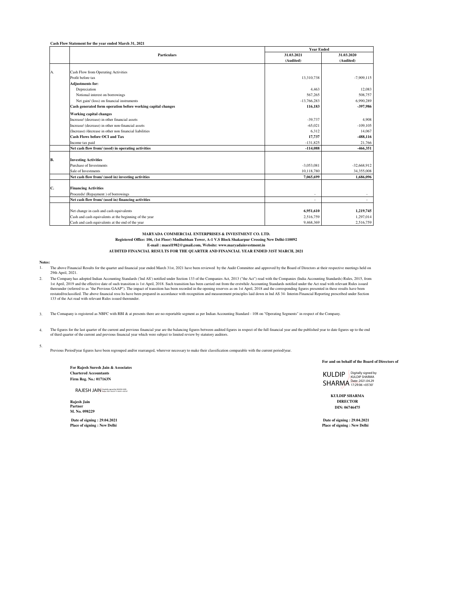**Cash Flow Statement for the year ended March 31, 2021**

|    | <b>Particulars</b>                                           | <b>Year Ended</b> |               |  |
|----|--------------------------------------------------------------|-------------------|---------------|--|
|    |                                                              | 31.03.2021        | 31.03.2020    |  |
|    |                                                              | (Audited)         | (Audited)     |  |
|    |                                                              |                   |               |  |
| A. | Cash Flow from Operating Activities                          |                   |               |  |
|    | Profit before tax                                            | 13,310,738        | $-7.909.115$  |  |
|    | <b>Adjustments for:</b>                                      |                   |               |  |
|    | Depreciation                                                 | 4,463             | 12,083        |  |
|    | Notional interest on borrowings                              | 567,265           | 508,757       |  |
|    | Net gain/ (loss) on financial instruments                    | $-13,766,283$     | 6.990.289     |  |
|    | Cash generated form operation before working capital changes | 116,183           | -397.986      |  |
|    | <b>Working capital changes</b>                               |                   |               |  |
|    | Increase/ (decrease) in other financial assets               | $-39.737$         | 4.908         |  |
|    | Increase/ (decrease) in other non-financial assets           | $-65.021$         | $-109.105$    |  |
|    | (Increase) /decrease in other non financial liabilities      | 6,312             | 14,067        |  |
|    | <b>Cash Flows before OCI and Tax</b>                         | 17,737            | -488,116      |  |
|    | Income tax paid                                              | $-131,825$        | 21.766        |  |
|    | Net cash flow from/ (used) in operating activities           | $-114,088$        | -466,351      |  |
|    |                                                              |                   |               |  |
| B. | <b>Investing Activities</b>                                  |                   |               |  |
|    | Purchase of Investments                                      | $-3,053,081$      | $-32,668,912$ |  |
|    | Sale of Investments                                          | 10,118,780        | 34,355,008    |  |
|    | Net cash flow from/ (used in) investing activities           | 7,065,699         | 1,686,096     |  |
|    |                                                              |                   |               |  |
| C. | <b>Financing Activities</b>                                  |                   |               |  |
|    | Proceeds/ (Repayment) of borrowings                          |                   |               |  |
|    | Net cash flow from/ (used in) financing activities           | ٠                 | $\sim$        |  |
|    | Net change in cash and cash equivalents                      | 6,951,610         | 1,219,745     |  |
|    | Cash and cash equivalents at the beginning of the year       | 2,516,759         | 1.297.014     |  |
|    | Cash and cash equivalents at the end of the year             | 9.468.369         | 2.516.759     |  |
|    |                                                              |                   |               |  |

**MARYADA COMMERCIAL ENTERPRISES & INVESTMENT CO. LTD.**

**Registered Office: 106, (1st Floor) Madhubhan Tower, A-1 V.S Block Shakarpur Crossing New Delhi-110092**

**E-mail : macel1982@gmail.com, Website: www.maryadainvestment.in**

**AUDITED FINANCIAL RESULTS FOR THE QUARTER AND FINANCIAL YEAR ENDED 31ST MARCH, 2021**

#### **Notes:**

- 1. The above Financial Results for the quarter and financial year ended March 31st, 2021 have been reviewed by the Audit Committee and approved by the Board of Directors at their respective meetings held on 29th April, 2021.
- 2. The Company has adopted Indian Accounting Standards ('lnd AS') notified under Section 133 of the Companies Act, 2013 ("the Act") read with the Companies (India Accounting Standards) Rules, 2015, from 1st April, 2019 and the effective date of such transition is 1st April, 2018. Such transition has been carried out from the erstwhile Accounting Standards notified under the Act read with relevant Rules issued thereunder ( 133 of the Act read with relevant Rules issued thereunder.

3. The Comapany is registered as NBFC with RBI & at presents there are no reportable segment as per Indian Accounting Standard - 108 on "Operating Segments" in respect of the Company.

4. The figures for the last quarter of the current and previous financial year are the balancing figures between audited figures in respect of the full financial year and the published year to date figures up to the end of third quarter of the current and previous financial year which were subject to limited review by statutory auditors.

5. Previous Period/year figures have been regrouped and/or rearranged, wherever necessary to make their classification comparable with the current period/year.

> **For Rajesh Suresh Jain & Associates Chartered Accountants Firm Reg. No.: 017163N**

RAJESH JAIN Digitally signed by RAJESH JAIN Date: 2021.04.29 17:34:05 +05'30'

**Partner M. No. 098229**

 **Date of signing : 29.04.2021 Place of signing : New Delhi** 

**For and on behalf of the Board of Directors of**

KULDIP SHARMA Digitally signed by KULDIP SHARMA Date: 2021.04.29 17:29:06 +05'30'

**KULDIP SHARMA Rajesh Jain DIRECTOR DIN: 06746475**

 **Date of signing : 29.04.2021 Place of signing : New Delhi**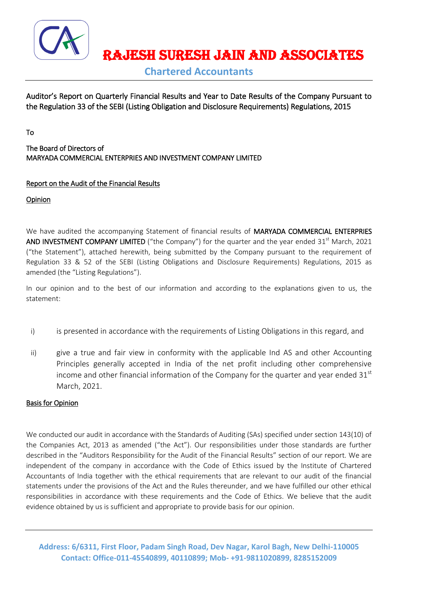

RAJESH SURESH JAIN AND ASSOCIATES

**Chartered Accountants**

Auditor's Report on Quarterly Financial Results and Year to Date Results of the Company Pursuant to the Regulation 33 of the SEBI (Listing Obligation and Disclosure Requirements) Regulations, 2015

To

The Board of Directors of MARYADA COMMERCIAL ENTERPRIES AND INVESTMENT COMPANY LIMITED

# Report on the Audit of the Financial Results

**Opinion** 

We have audited the accompanying Statement of financial results of MARYADA COMMERCIAL ENTERPRIES AND INVESTMENT COMPANY LIMITED ("the Company") for the quarter and the year ended  $31<sup>st</sup>$  March, 2021 ("the Statement"), attached herewith, being submitted by the Company pursuant to the requirement of Regulation 33 & 52 of the SEBI (Listing Obligations and Disclosure Requirements) Regulations, 2015 as amended (the "Listing Regulations").

In our opinion and to the best of our information and according to the explanations given to us, the statement:

- i) is presented in accordance with the requirements of Listing Obligations in this regard, and
- ii) give a true and fair view in conformity with the applicable Ind AS and other Accounting Principles generally accepted in India of the net profit including other comprehensive income and other financial information of the Company for the quarter and year ended  $31<sup>st</sup>$ March, 2021.

# Basis for Opinion

We conducted our audit in accordance with the Standards of Auditing (SAs) specified under section 143(10) of the Companies Act, 2013 as amended ("the Act"). Our responsibilities under those standards are further described in the "Auditors Responsibility for the Audit of the Financial Results" section of our report. We are independent of the company in accordance with the Code of Ethics issued by the Institute of Chartered Accountants of India together with the ethical requirements that are relevant to our audit of the financial statements under the provisions of the Act and the Rules thereunder, and we have fulfilled our other ethical responsibilities in accordance with these requirements and the Code of Ethics. We believe that the audit evidence obtained by us is sufficient and appropriate to provide basis for our opinion.

**Address: 6/6311, First Floor, Padam Singh Road, Dev Nagar, Karol Bagh, New Delhi-110005 Contact: Office-011-45540899, 40110899; Mob- +91-9811020899, 8285152009**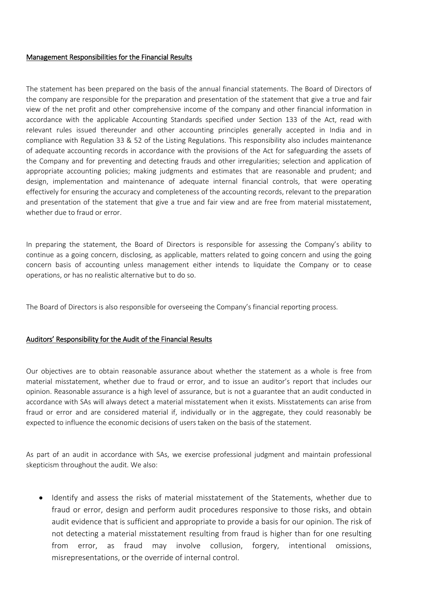# Management Responsibilities for the Financial Results

The statement has been prepared on the basis of the annual financial statements. The Board of Directors of the company are responsible for the preparation and presentation of the statement that give a true and fair view of the net profit and other comprehensive income of the company and other financial information in accordance with the applicable Accounting Standards specified under Section 133 of the Act, read with relevant rules issued thereunder and other accounting principles generally accepted in India and in compliance with Regulation 33 & 52 of the Listing Regulations. This responsibility also includes maintenance of adequate accounting records in accordance with the provisions of the Act for safeguarding the assets of the Company and for preventing and detecting frauds and other irregularities; selection and application of appropriate accounting policies; making judgments and estimates that are reasonable and prudent; and design, implementation and maintenance of adequate internal financial controls, that were operating effectively for ensuring the accuracy and completeness of the accounting records, relevant to the preparation and presentation of the statement that give a true and fair view and are free from material misstatement, whether due to fraud or error.

In preparing the statement, the Board of Directors is responsible for assessing the Company's ability to continue as a going concern, disclosing, as applicable, matters related to going concern and using the going concern basis of accounting unless management either intends to liquidate the Company or to cease operations, or has no realistic alternative but to do so.

The Board of Directors is also responsible for overseeing the Company's financial reporting process.

# Auditors' Responsibility for the Audit of the Financial Results

Our objectives are to obtain reasonable assurance about whether the statement as a whole is free from material misstatement, whether due to fraud or error, and to issue an auditor's report that includes our opinion. Reasonable assurance is a high level of assurance, but is not a guarantee that an audit conducted in accordance with SAs will always detect a material misstatement when it exists. Misstatements can arise from fraud or error and are considered material if, individually or in the aggregate, they could reasonably be expected to influence the economic decisions of users taken on the basis of the statement.

As part of an audit in accordance with SAs, we exercise professional judgment and maintain professional skepticism throughout the audit. We also:

 Identify and assess the risks of material misstatement of the Statements, whether due to fraud or error, design and perform audit procedures responsive to those risks, and obtain audit evidence that is sufficient and appropriate to provide a basis for our opinion. The risk of not detecting a material misstatement resulting from fraud is higher than for one resulting from error, as fraud may involve collusion, forgery, intentional omissions, misrepresentations, or the override of internal control.